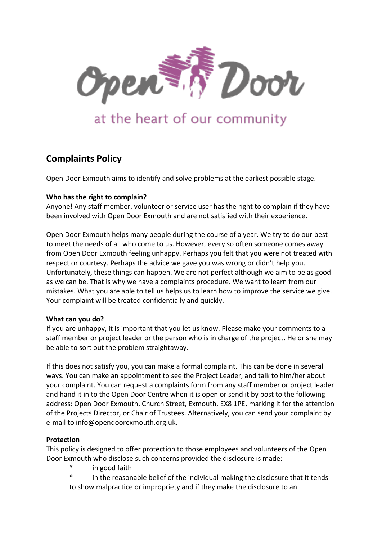

# at the heart of our community

# **Complaints Policy**

Open Door Exmouth aims to identify and solve problems at the earliest possible stage.

### **Who has the right to complain?**

Anyone! Any staff member, volunteer or service user has the right to complain if they have been involved with Open Door Exmouth and are not satisfied with their experience.

Open Door Exmouth helps many people during the course of a year. We try to do our best to meet the needs of all who come to us. However, every so often someone comes away from Open Door Exmouth feeling unhappy. Perhaps you felt that you were not treated with respect or courtesy. Perhaps the advice we gave you was wrong or didn't help you. Unfortunately, these things can happen. We are not perfect although we aim to be as good as we can be. That is why we have a complaints procedure. We want to learn from our mistakes. What you are able to tell us helps us to learn how to improve the service we give. Your complaint will be treated confidentially and quickly.

#### **What can you do?**

If you are unhappy, it is important that you let us know. Please make your comments to a staff member or project leader or the person who is in charge of the project. He or she may be able to sort out the problem straightaway.

If this does not satisfy you, you can make a formal complaint. This can be done in several ways. You can make an appointment to see the Project Leader, and talk to him/her about your complaint. You can request a complaints form from any staff member or project leader and hand it in to the Open Door Centre when it is open or send it by post to the following address: Open Door Exmouth, Church Street, Exmouth, EX8 1PE, marking it for the attention of the Projects Director, or Chair of Trustees. Alternatively, you can send your complaint by e-mail to inf[o@opendoorexmouth.org.uk.](mailto:helen@opendoorexmouth.org.uk)

# **Protection**

This policy is designed to offer protection to those employees and volunteers of the Open Door Exmouth who disclose such concerns provided the disclosure is made:

- in good faith
- in the reasonable belief of the individual making the disclosure that it tends to show malpractice or impropriety and if they make the disclosure to an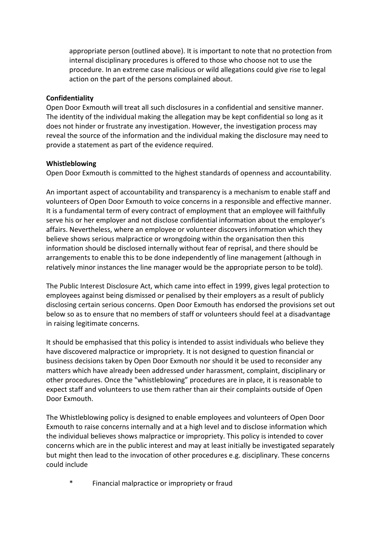appropriate person (outlined above). It is important to note that no protection from internal disciplinary procedures is offered to those who choose not to use the procedure. In an extreme case malicious or wild allegations could give rise to legal action on the part of the persons complained about.

#### **Confidentiality**

Open Door Exmouth will treat all such disclosures in a confidential and sensitive manner. The identity of the individual making the allegation may be kept confidential so long as it does not hinder or frustrate any investigation. However, the investigation process may reveal the source of the information and the individual making the disclosure may need to provide a statement as part of the evidence required.

### **Whistleblowing**

Open Door Exmouth is committed to the highest standards of openness and accountability.

An important aspect of accountability and transparency is a mechanism to enable staff and volunteers of Open Door Exmouth to voice concerns in a responsible and effective manner. It is a fundamental term of every contract of employment that an employee will faithfully serve his or her employer and not disclose confidential information about the employer's affairs. Nevertheless, where an employee or volunteer discovers information which they believe shows serious malpractice or wrongdoing within the organisation then this information should be disclosed internally without fear of reprisal, and there should be arrangements to enable this to be done independently of line management (although in relatively minor instances the line manager would be the appropriate person to be told).

The Public Interest Disclosure Act, which came into effect in 1999, gives legal protection to employees against being dismissed or penalised by their employers as a result of publicly disclosing certain serious concerns. Open Door Exmouth has endorsed the provisions set out below so as to ensure that no members of staff or volunteers should feel at a disadvantage in raising legitimate concerns.

It should be emphasised that this policy is intended to assist individuals who believe they have discovered malpractice or impropriety. It is not designed to question financial or business decisions taken by Open Door Exmouth nor should it be used to reconsider any matters which have already been addressed under harassment, complaint, disciplinary or other procedures. Once the "whistleblowing" procedures are in place, it is reasonable to expect staff and volunteers to use them rather than air their complaints outside of Open Door Exmouth.

The Whistleblowing policy is designed to enable employees and volunteers of Open Door Exmouth to raise concerns internally and at a high level and to disclose information which the individual believes shows malpractice or impropriety. This policy is intended to cover concerns which are in the public interest and may at least initially be investigated separately but might then lead to the invocation of other procedures e.g. disciplinary. These concerns could include

Financial malpractice or impropriety or fraud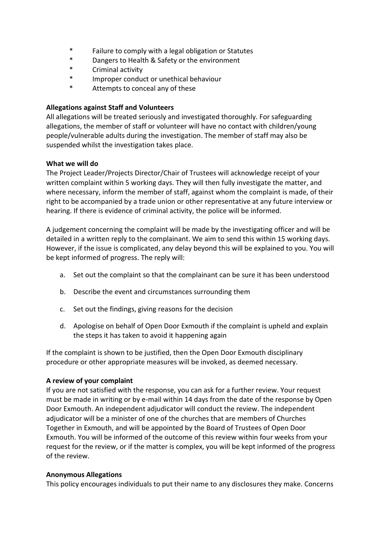- \* Failure to comply with a legal obligation or Statutes
- \* Dangers to Health & Safety or the environment
- \* Criminal activity
- \* Improper conduct or unethical behaviour
- \* Attempts to conceal any of these

# **Allegations against Staff and Volunteers**

All allegations will be treated seriously and investigated thoroughly. For safeguarding allegations, the member of staff or volunteer will have no contact with children/young people/vulnerable adults during the investigation. The member of staff may also be suspended whilst the investigation takes place.

# **What we will do**

The Project Leader/Projects Director/Chair of Trustees will acknowledge receipt of your written complaint within 5 working days. They will then fully investigate the matter, and where necessary, inform the member of staff, against whom the complaint is made, of their right to be accompanied by a trade union or other representative at any future interview or hearing. If there is evidence of criminal activity, the police will be informed.

A judgement concerning the complaint will be made by the investigating officer and will be detailed in a written reply to the complainant. We aim to send this within 15 working days. However, if the issue is complicated, any delay beyond this will be explained to you. You will be kept informed of progress. The reply will:

- a. Set out the complaint so that the complainant can be sure it has been understood
- b. Describe the event and circumstances surrounding them
- c. Set out the findings, giving reasons for the decision
- d. Apologise on behalf of Open Door Exmouth if the complaint is upheld and explain the steps it has taken to avoid it happening again

If the complaint is shown to be justified, then the Open Door Exmouth disciplinary procedure or other appropriate measures will be invoked, as deemed necessary.

# **A review of your complaint**

If you are not satisfied with the response, you can ask for a further review. Your request must be made in writing or by e-mail within 14 days from the date of the response by Open Door Exmouth. An independent adjudicator will conduct the review. The independent adjudicator will be a minister of one of the churches that are members of Churches Together in Exmouth, and will be appointed by the Board of Trustees of Open Door Exmouth. You will be informed of the outcome of this review within four weeks from your request for the review, or if the matter is complex, you will be kept informed of the progress of the review.

#### **Anonymous Allegations**

This policy encourages individuals to put their name to any disclosures they make. Concerns